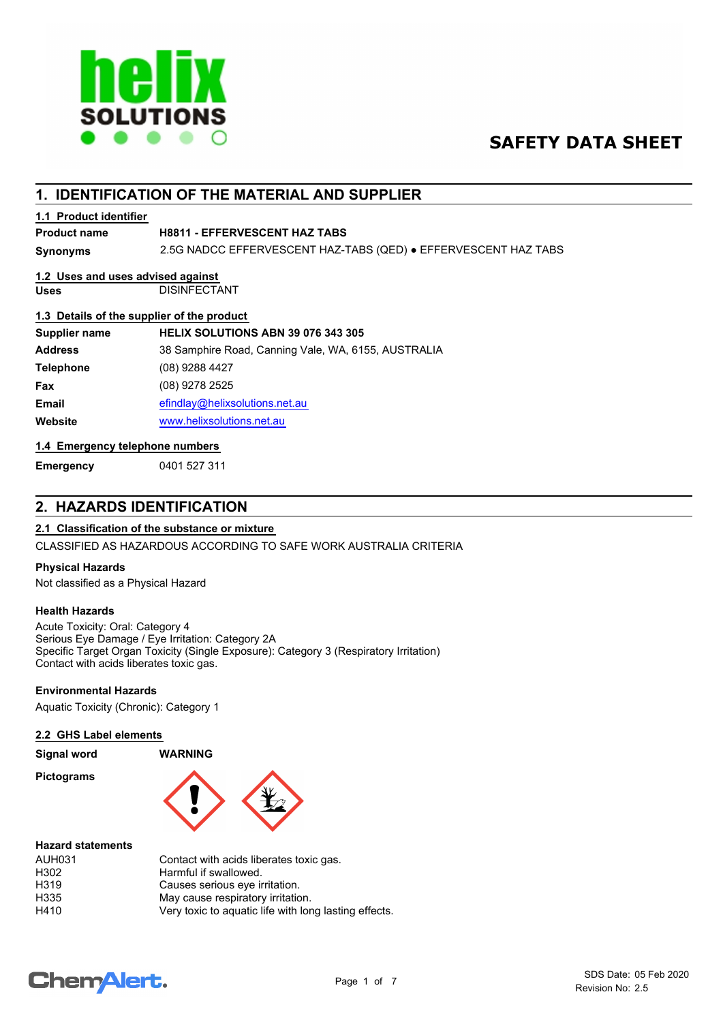

## **SAFETY DATA SHEET**

## **1. IDENTIFICATION OF THE MATERIAL AND SUPPLIER**

#### **1.1 Product identifier**

#### **Product name H8811 - EFFERVESCENT HAZ TABS**

**Synonyms** 2.5G NADCC EFFERVESCENT HAZ-TABS (QED) ● EFFERVESCENT HAZ TABS

#### **1.2 Uses and uses advised against**

**Uses** DISINFECTANT

#### **1.3 Details of the supplier of the product**

| Supplier name    | HELIX SOLUTIONS ABN 39 076 343 305                  |
|------------------|-----------------------------------------------------|
| <b>Address</b>   | 38 Samphire Road, Canning Vale, WA, 6155, AUSTRALIA |
| <b>Telephone</b> | $(08)$ 9288 4427                                    |
| <b>Fax</b>       | (08) 9278 2525                                      |
| Email            | efindlay@helixsolutions.net.au                      |
| Website          | www.helixsolutions.net.au                           |
|                  |                                                     |

### **1.4 Emergency telephone numbers**

**Emergency** 0401 527 311

## **2. HAZARDS IDENTIFICATION**

## **2.1 Classification of the substance or mixture**

CLASSIFIED AS HAZARDOUS ACCORDING TO SAFE WORK AUSTRALIA CRITERIA

#### **Physical Hazards**

Not classified as a Physical Hazard

#### **Health Hazards**

Acute Toxicity: Oral: Category 4 Serious Eye Damage / Eye Irritation: Category 2A Specific Target Organ Toxicity (Single Exposure): Category 3 (Respiratory Irritation) Contact with acids liberates toxic gas.

#### **Environmental Hazards**

Aquatic Toxicity (Chronic): Category 1

#### **2.2 GHS Label elements**

| Signal word       | <b>WARNING</b> |
|-------------------|----------------|
| <b>Pictograms</b> |                |



#### **Hazard statements**

| AUH031 | Contact with acids liberates toxic gas.               |
|--------|-------------------------------------------------------|
| H302   | Harmful if swallowed.                                 |
| H319   | Causes serious eye irritation.                        |
| H335   | May cause respiratory irritation.                     |
| H410   | Very toxic to aquatic life with long lasting effects. |

## **ChemAlert.**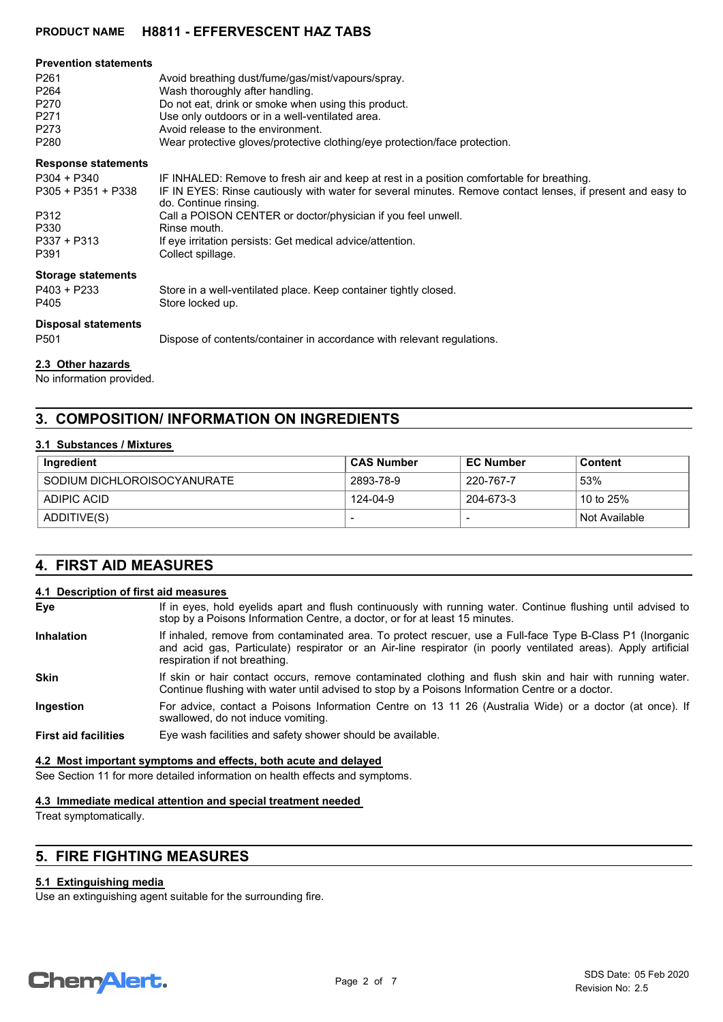| <b>Prevention statements</b><br>P <sub>261</sub><br>P <sub>264</sub><br>P270<br>P <sub>271</sub><br>P273<br>P280 | Avoid breathing dust/fume/gas/mist/vapours/spray.<br>Wash thoroughly after handling.<br>Do not eat, drink or smoke when using this product.<br>Use only outdoors or in a well-ventilated area.<br>Avoid release to the environment.<br>Wear protective gloves/protective clothing/eye protection/face protection.                                                                                  |
|------------------------------------------------------------------------------------------------------------------|----------------------------------------------------------------------------------------------------------------------------------------------------------------------------------------------------------------------------------------------------------------------------------------------------------------------------------------------------------------------------------------------------|
| <b>Response statements</b><br>P304 + P340<br>$P305 + P351 + P338$<br>P312<br>P330<br>$P337 + P313$<br>P391       | IF INHALED: Remove to fresh air and keep at rest in a position comfortable for breathing.<br>IF IN EYES: Rinse cautiously with water for several minutes. Remove contact lenses, if present and easy to<br>do. Continue rinsing.<br>Call a POISON CENTER or doctor/physician if you feel unwell.<br>Rinse mouth.<br>If eye irritation persists: Get medical advice/attention.<br>Collect spillage. |
| <b>Storage statements</b><br>$P403 + P233$<br>P405<br><b>Disposal statements</b><br>P <sub>501</sub>             | Store in a well-ventilated place. Keep container tightly closed.<br>Store locked up.<br>Dispose of contents/container in accordance with relevant regulations.                                                                                                                                                                                                                                     |
|                                                                                                                  |                                                                                                                                                                                                                                                                                                                                                                                                    |

## **2.3 Other hazards**

No information provided.

## **3. COMPOSITION/ INFORMATION ON INGREDIENTS**

#### **3.1 Substances / Mixtures**

| Ingredient                  | <b>CAS Number</b> | <b>EC Number</b> | Content       |
|-----------------------------|-------------------|------------------|---------------|
| SODIUM DICHLOROISOCYANURATE | 2893-78-9         | 220-767-7        | 53%           |
| ADIPIC ACID                 | 124-04-9          | 204-673-3        | 10 to 25%     |
| ADDITIVE(S)                 |                   |                  | Not Available |

## **4. FIRST AID MEASURES**

#### **4.1 Description of first aid measures**

| Eye                         | If in eyes, hold eyelids apart and flush continuously with running water. Continue flushing until advised to<br>stop by a Poisons Information Centre, a doctor, or for at least 15 minutes.                                                                  |
|-----------------------------|--------------------------------------------------------------------------------------------------------------------------------------------------------------------------------------------------------------------------------------------------------------|
| <b>Inhalation</b>           | If inhaled, remove from contaminated area. To protect rescuer, use a Full-face Type B-Class P1 (Inorganic<br>and acid gas, Particulate) respirator or an Air-line respirator (in poorly ventilated areas). Apply artificial<br>respiration if not breathing. |
| <b>Skin</b>                 | If skin or hair contact occurs, remove contaminated clothing and flush skin and hair with running water.<br>Continue flushing with water until advised to stop by a Poisons Information Centre or a doctor.                                                  |
| Ingestion                   | For advice, contact a Poisons Information Centre on 13 11 26 (Australia Wide) or a doctor (at once). If<br>swallowed, do not induce vomiting.                                                                                                                |
| <b>First aid facilities</b> | Eye wash facilities and safety shower should be available.                                                                                                                                                                                                   |

#### **4.2 Most important symptoms and effects, both acute and delayed**

See Section 11 for more detailed information on health effects and symptoms.

#### **4.3 Immediate medical attention and special treatment needed**

Treat symptomatically.

## **5. FIRE FIGHTING MEASURES**

#### **5.1 Extinguishing media**

Use an extinguishing agent suitable for the surrounding fire.

# **Chemalert.**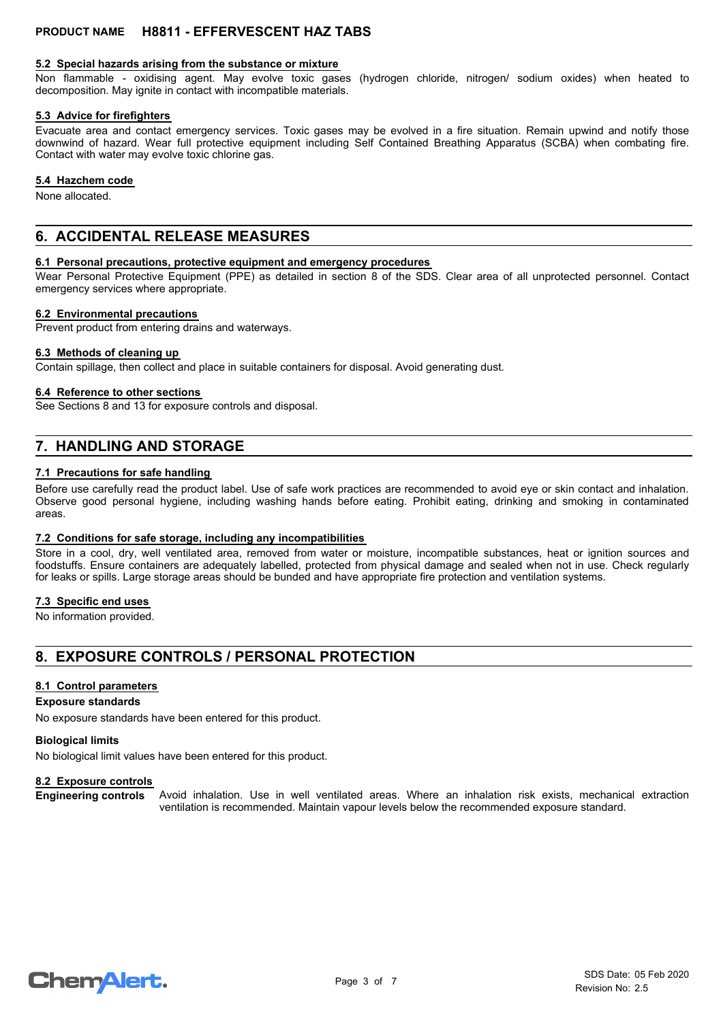#### **5.2 Special hazards arising from the substance or mixture**

Non flammable - oxidising agent. May evolve toxic gases (hydrogen chloride, nitrogen/ sodium oxides) when heated to decomposition. May ignite in contact with incompatible materials.

#### **5.3 Advice for firefighters**

Evacuate area and contact emergency services. Toxic gases may be evolved in a fire situation. Remain upwind and notify those downwind of hazard. Wear full protective equipment including Self Contained Breathing Apparatus (SCBA) when combating fire. Contact with water may evolve toxic chlorine gas.

#### **5.4 Hazchem code**

None allocated.

## **6. ACCIDENTAL RELEASE MEASURES**

#### **6.1 Personal precautions, protective equipment and emergency procedures**

Wear Personal Protective Equipment (PPE) as detailed in section 8 of the SDS. Clear area of all unprotected personnel. Contact emergency services where appropriate.

#### **6.2 Environmental precautions**

Prevent product from entering drains and waterways.

#### **6.3 Methods of cleaning up**

Contain spillage, then collect and place in suitable containers for disposal. Avoid generating dust.

#### **6.4 Reference to other sections**

See Sections 8 and 13 for exposure controls and disposal.

## **7. HANDLING AND STORAGE**

#### **7.1 Precautions for safe handling**

Before use carefully read the product label. Use of safe work practices are recommended to avoid eye or skin contact and inhalation. Observe good personal hygiene, including washing hands before eating. Prohibit eating, drinking and smoking in contaminated areas.

#### **7.2 Conditions for safe storage, including any incompatibilities**

Store in a cool, dry, well ventilated area, removed from water or moisture, incompatible substances, heat or ignition sources and foodstuffs. Ensure containers are adequately labelled, protected from physical damage and sealed when not in use. Check regularly for leaks or spills. Large storage areas should be bunded and have appropriate fire protection and ventilation systems.

#### **7.3 Specific end uses**

No information provided.

## **8. EXPOSURE CONTROLS / PERSONAL PROTECTION**

#### **8.1 Control parameters**

#### **Exposure standards**

No exposure standards have been entered for this product.

#### **Biological limits**

No biological limit values have been entered for this product.

#### **8.2 Exposure controls**

Avoid inhalation. Use in well ventilated areas. Where an inhalation risk exists, mechanical extraction ventilation is recommended. Maintain vapour levels below the recommended exposure standard. **Engineering controls**

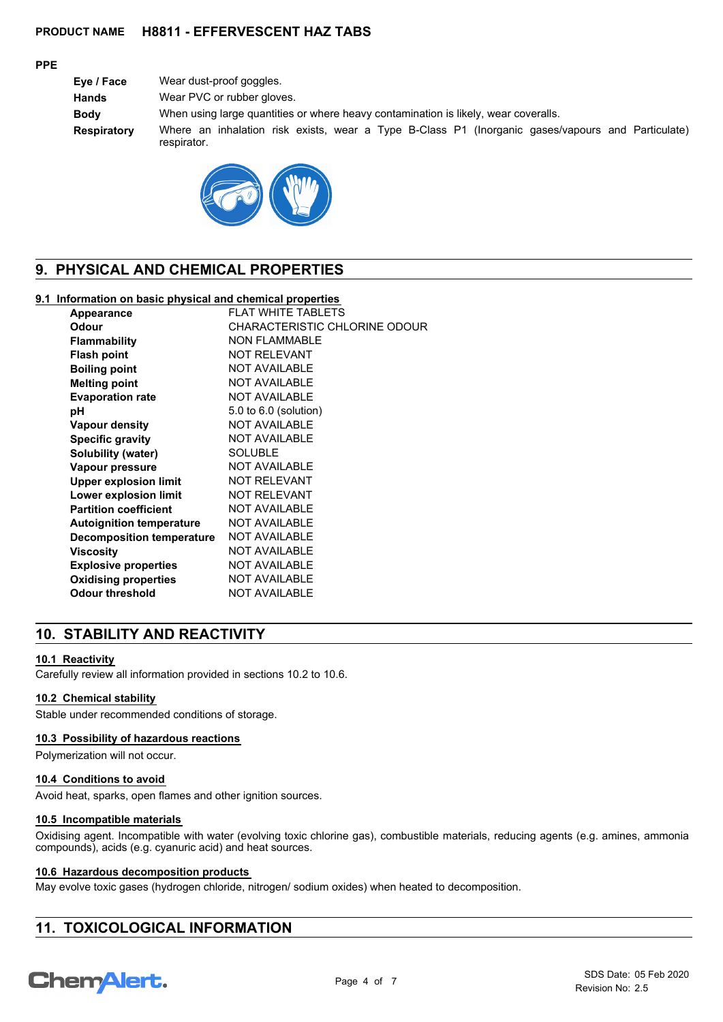#### **PPE**

**Eye / Face** Wear dust-proof goggles. **Hands** Wear PVC or rubber gloves. **Body** When using large quantities or where heavy contamination is likely, wear coveralls. **Respiratory** Where an inhalation risk exists, wear a Type B-Class P1 (Inorganic gases/vapours and Particulate) respirator.



## **9. PHYSICAL AND CHEMICAL PROPERTIES**

#### **9.1 Information on basic physical and chemical properties**

| Appearance                      | <b>FLAT WHITE TABLETS</b>     |
|---------------------------------|-------------------------------|
| Odour                           | CHARACTERISTIC CHLORINE ODOUR |
| <b>Flammability</b>             | <b>NON FLAMMABLE</b>          |
| <b>Flash point</b>              | <b>NOT RELEVANT</b>           |
| <b>Boiling point</b>            | <b>NOT AVAILABLE</b>          |
| <b>Melting point</b>            | <b>NOT AVAILABLE</b>          |
| <b>Evaporation rate</b>         | <b>NOT AVAILABLE</b>          |
| рH                              | 5.0 to 6.0 (solution)         |
| <b>Vapour density</b>           | <b>NOT AVAILABLE</b>          |
| <b>Specific gravity</b>         | <b>NOT AVAILABLE</b>          |
| <b>Solubility (water)</b>       | <b>SOLUBLE</b>                |
| Vapour pressure                 | <b>NOT AVAILABLE</b>          |
| <b>Upper explosion limit</b>    | <b>NOT RELEVANT</b>           |
| Lower explosion limit           | <b>NOT RELEVANT</b>           |
| <b>Partition coefficient</b>    | <b>NOT AVAILABLE</b>          |
| <b>Autoignition temperature</b> | <b>NOT AVAILABLE</b>          |
| Decomposition temperature       | <b>NOT AVAILABLE</b>          |
| Viscosity                       | <b>NOT AVAILABLE</b>          |
| <b>Explosive properties</b>     | <b>NOT AVAILABLE</b>          |
| <b>Oxidising properties</b>     | <b>NOT AVAILABLE</b>          |
| <b>Odour threshold</b>          | <b>NOT AVAILABLE</b>          |

## **10. STABILITY AND REACTIVITY**

#### **10.1 Reactivity**

Carefully review all information provided in sections 10.2 to 10.6.

#### **10.2 Chemical stability**

Stable under recommended conditions of storage.

#### **10.3 Possibility of hazardous reactions**

Polymerization will not occur.

#### **10.4 Conditions to avoid**

Avoid heat, sparks, open flames and other ignition sources.

#### **10.5 Incompatible materials**

Oxidising agent. Incompatible with water (evolving toxic chlorine gas), combustible materials, reducing agents (e.g. amines, ammonia compounds), acids (e.g. cyanuric acid) and heat sources.

#### **10.6 Hazardous decomposition products**

May evolve toxic gases (hydrogen chloride, nitrogen/ sodium oxides) when heated to decomposition.

## **11. TOXICOLOGICAL INFORMATION**

# **ChemAlert.**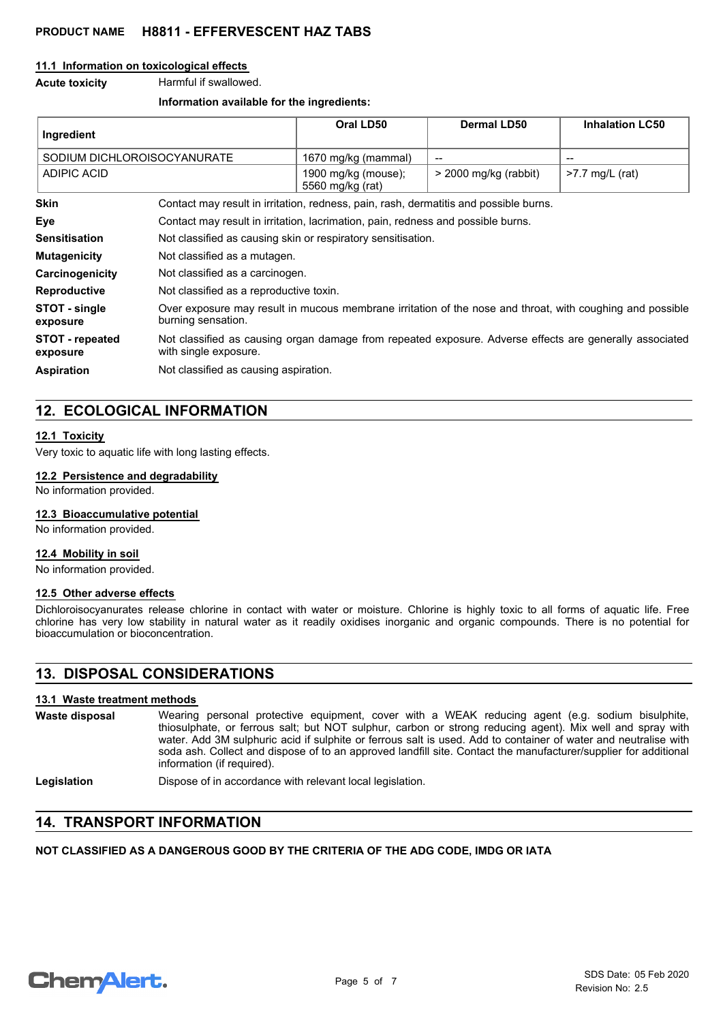#### **11.1 Information on toxicological effects**

**Acute toxicity** Harmful if swallowed.

#### **Information available for the ingredients:**

| Ingredient                         |                                                                                                                                  | Oral LD50                               | Dermal LD50             | <b>Inhalation LC50</b> |
|------------------------------------|----------------------------------------------------------------------------------------------------------------------------------|-----------------------------------------|-------------------------|------------------------|
| SODIUM DICHLOROISOCYANURATE        |                                                                                                                                  | 1670 mg/kg (mammal)                     | --                      |                        |
| <b>ADIPIC ACID</b>                 |                                                                                                                                  | 1900 mg/kg (mouse);<br>5560 mg/kg (rat) | $>$ 2000 mg/kg (rabbit) | $>7.7$ mg/L (rat)      |
| <b>Skin</b>                        | Contact may result in irritation, redness, pain, rash, dermatitis and possible burns.                                            |                                         |                         |                        |
| Eye                                | Contact may result in irritation, lacrimation, pain, redness and possible burns.                                                 |                                         |                         |                        |
| <b>Sensitisation</b>               | Not classified as causing skin or respiratory sensitisation.                                                                     |                                         |                         |                        |
| <b>Mutagenicity</b>                | Not classified as a mutagen.                                                                                                     |                                         |                         |                        |
| Carcinogenicity                    | Not classified as a carcinogen.                                                                                                  |                                         |                         |                        |
| <b>Reproductive</b>                | Not classified as a reproductive toxin.                                                                                          |                                         |                         |                        |
| STOT - single<br>exposure          | Over exposure may result in mucous membrane irritation of the nose and throat, with coughing and possible<br>burning sensation.  |                                         |                         |                        |
| <b>STOT</b> - repeated<br>exposure | Not classified as causing organ damage from repeated exposure. Adverse effects are generally associated<br>with single exposure. |                                         |                         |                        |
| <b>Aspiration</b>                  | Not classified as causing aspiration.                                                                                            |                                         |                         |                        |

## **12. ECOLOGICAL INFORMATION**

#### **12.1 Toxicity**

Very toxic to aquatic life with long lasting effects.

#### **12.2 Persistence and degradability**

No information provided.

#### **12.3 Bioaccumulative potential**

No information provided.

#### **12.4 Mobility in soil**

No information provided.

#### **12.5 Other adverse effects**

Dichloroisocyanurates release chlorine in contact with water or moisture. Chlorine is highly toxic to all forms of aquatic life. Free chlorine has very low stability in natural water as it readily oxidises inorganic and organic compounds. There is no potential for bioaccumulation or bioconcentration.

## **13. DISPOSAL CONSIDERATIONS**

#### **13.1 Waste treatment methods**

| Waste disposal | Wearing personal protective equipment, cover with a WEAK reducing agent (e.g. sodium bisulphite,                                                                                                                                                                 |
|----------------|------------------------------------------------------------------------------------------------------------------------------------------------------------------------------------------------------------------------------------------------------------------|
|                | thiosulphate, or ferrous salt; but NOT sulphur, carbon or strong reducing agent). Mix well and spray with                                                                                                                                                        |
|                | water. Add 3M sulphuric acid if sulphite or ferrous salt is used. Add to container of water and neutralise with<br>soda ash. Collect and dispose of to an approved landfill site. Contact the manufacturer/supplier for additional<br>information (if required). |

Legislation **Dispose of in accordance with relevant local legislation.** 

## **14. TRANSPORT INFORMATION**

#### **NOT CLASSIFIED AS A DANGEROUS GOOD BY THE CRITERIA OF THE ADG CODE, IMDG OR IATA**

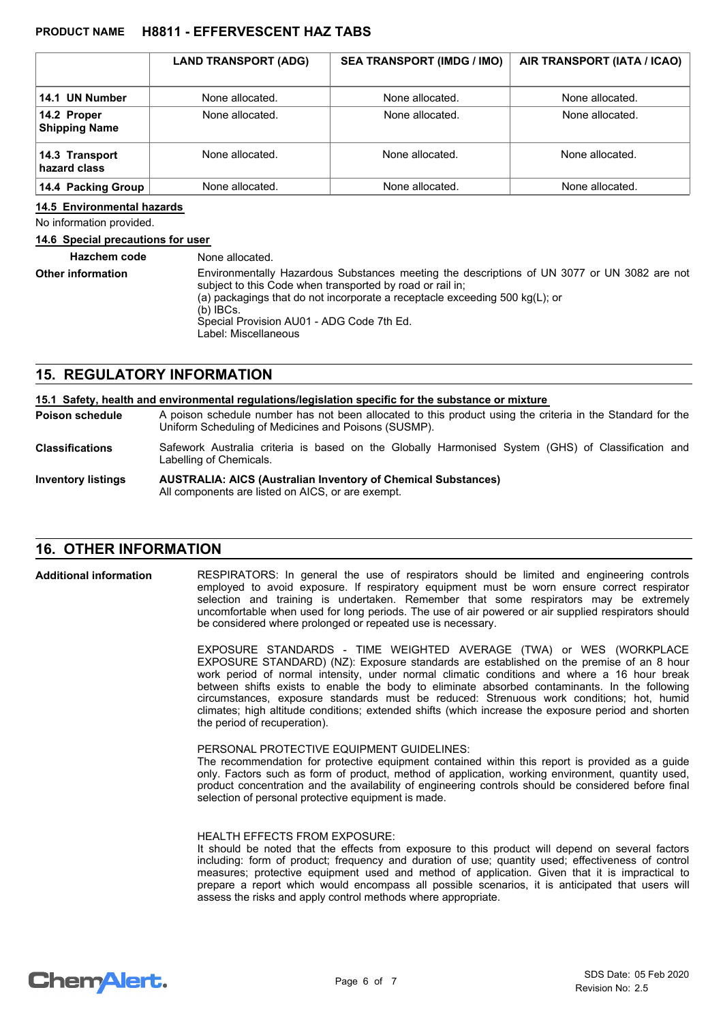|                                     | <b>LAND TRANSPORT (ADG)</b> | <b>SEA TRANSPORT (IMDG / IMO)</b> | AIR TRANSPORT (IATA / ICAO) |
|-------------------------------------|-----------------------------|-----------------------------------|-----------------------------|
|                                     |                             |                                   |                             |
| 14.1 UN Number                      | None allocated.             | None allocated.                   | None allocated.             |
| 14.2 Proper<br><b>Shipping Name</b> | None allocated.             | None allocated.                   | None allocated.             |
| 14.3 Transport<br>hazard class      | None allocated.             | None allocated.                   | None allocated.             |
| 14.4 Packing Group                  | None allocated.             | None allocated.                   | None allocated.             |

#### **14.5 Environmental hazards**

No information provided.

#### **14.6 Special precautions for user**

| <b>Hazchem code</b>      | None allocated.                                                                                                                                                                                                                                                                                                                |
|--------------------------|--------------------------------------------------------------------------------------------------------------------------------------------------------------------------------------------------------------------------------------------------------------------------------------------------------------------------------|
| <b>Other information</b> | Environmentally Hazardous Substances meeting the descriptions of UN 3077 or UN 3082 are not<br>subject to this Code when transported by road or rail in:<br>(a) packagings that do not incorporate a receptacle exceeding 500 $kg(L)$ ; or<br>$(b)$ IBCs.<br>Special Provision AU01 - ADG Code 7th Ed.<br>Label: Miscellaneous |

## **15. REGULATORY INFORMATION**

|                           | 15.1 Safety, health and environmental regulations/legislation specific for the substance or mixture                                                                |
|---------------------------|--------------------------------------------------------------------------------------------------------------------------------------------------------------------|
| <b>Poison schedule</b>    | A poison schedule number has not been allocated to this product using the criteria in the Standard for the<br>Uniform Scheduling of Medicines and Poisons (SUSMP). |
| <b>Classifications</b>    | Safework Australia criteria is based on the Globally Harmonised System (GHS) of Classification and<br>Labelling of Chemicals.                                      |
| <b>Inventory listings</b> | <b>AUSTRALIA: AICS (Australian Inventory of Chemical Substances)</b><br>All components are listed on AICS, or are exempt.                                          |

### **16. OTHER INFORMATION**

RESPIRATORS: In general the use of respirators should be limited and engineering controls employed to avoid exposure. If respiratory equipment must be worn ensure correct respirator selection and training is undertaken. Remember that some respirators may be extremely uncomfortable when used for long periods. The use of air powered or air supplied respirators should be considered where prolonged or repeated use is necessary. **Additional information**

> EXPOSURE STANDARDS - TIME WEIGHTED AVERAGE (TWA) or WES (WORKPLACE EXPOSURE STANDARD) (NZ): Exposure standards are established on the premise of an 8 hour work period of normal intensity, under normal climatic conditions and where a 16 hour break between shifts exists to enable the body to eliminate absorbed contaminants. In the following circumstances, exposure standards must be reduced: Strenuous work conditions; hot, humid climates; high altitude conditions; extended shifts (which increase the exposure period and shorten the period of recuperation).

#### PERSONAL PROTECTIVE EQUIPMENT GUIDELINES:

The recommendation for protective equipment contained within this report is provided as a guide only. Factors such as form of product, method of application, working environment, quantity used, product concentration and the availability of engineering controls should be considered before final selection of personal protective equipment is made.

#### HEALTH EFFECTS FROM EXPOSURE:

It should be noted that the effects from exposure to this product will depend on several factors including: form of product; frequency and duration of use; quantity used; effectiveness of control measures; protective equipment used and method of application. Given that it is impractical to prepare a report which would encompass all possible scenarios, it is anticipated that users will assess the risks and apply control methods where appropriate.

## **ChemAlert.**